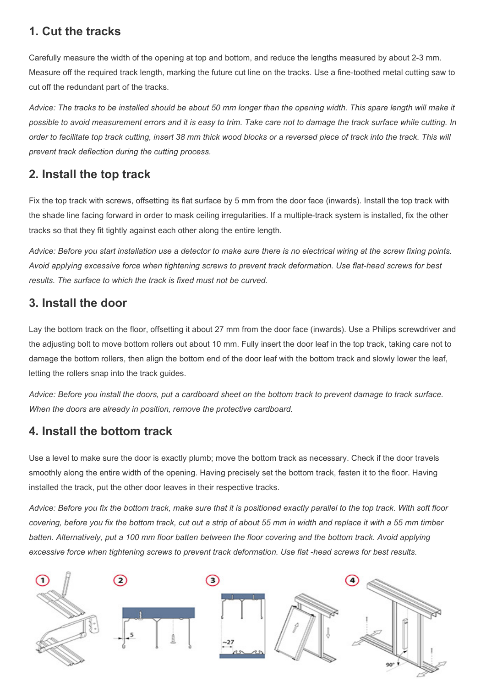### **1. Cut the tracks**

Carefully measure the width of the opening at top and bottom, and reduce the lengths measured by about 2-3 mm. Measure off the required track length, marking the future cut line on the tracks. Use a fine-toothed metal cutting saw to cut off the redundant part of the tracks.

*Advice: The tracks to be installed should be about 50 mm longer than the opening width. This spare length will make it possible to avoid measurement errors and it is easy to trim. Take care not to damage the track surface while cutting. In order to facilitate top track cutting, insert 38 mm thick wood blocks or a reversed piece of track into the track. This will prevent track deflection during the cutting process.*

### **2. Install the top track**

Fix the top track with screws, offsetting its flat surface by 5 mm from the door face (inwards). Install the top track with the shade line facing forward in order to mask ceiling irregularities. If a multiple-track system is installed, fix the other tracks so that they fit tightly against each other along the entire length.

*Advice: Before you start installation use a detector to make sure there is no electrical wiring at the screw fixing points. Avoid applying excessive force when tightening screws to prevent track deformation. Use flat-head screws for best results. The surface to which the track is fixed must not be curved.*

### **3. Install the door**

Lay the bottom track on the floor, offsetting it about 27 mm from the door face (inwards). Use a Philips screwdriver and the adjusting bolt to move bottom rollers out about 10 mm. Fully insert the door leaf in the top track, taking care not to damage the bottom rollers, then align the bottom end of the door leaf with the bottom track and slowly lower the leaf, letting the rollers snap into the track guides.

*Advice: Before you install the doors, put a cardboard sheet on the bottom track to prevent damage to track surface. When the doors are already in position, remove the protective cardboard.*

#### **4. Install the bottom track**

Use a level to make sure the door is exactly plumb; move the bottom track as necessary. Check if the door travels smoothly along the entire width of the opening. Having precisely set the bottom track, fasten it to the floor. Having installed the track, put the other door leaves in their respective tracks.

*Advice: Before you fix the bottom track, make sure that it is positioned exactly parallel to the top track. With soft floor covering, before you fix the bottom track, cut out a strip of about 55 mm in width and replace it with a 55 mm timber batten. Alternatively, put a 100 mm floor batten between the floor covering and the bottom track. Avoid applying excessive force when tightening screws to prevent track deformation. Use flat -head screws for best results.*